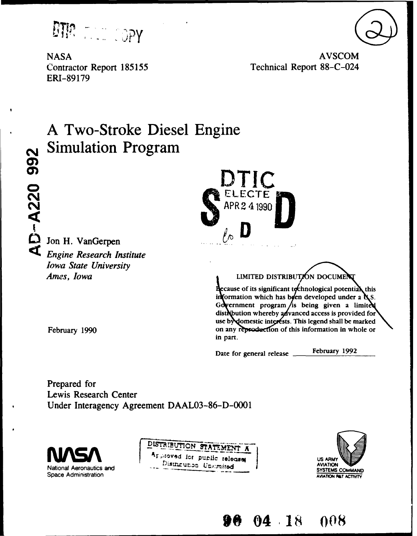DTM THE COPY

**ERI-89179**

NASA AVSCOM Contractor Report **185155** Technical Report **88-C-024**

# **A Two-Stroke Diesel Engine NSimulation Program**

**O** Jon H. VanGerpen *<i>le*<sub>0</sub> **b** *le*<sub>1</sub> *le*<sub>1</sub> *le*<sub>1</sub> *le*<sub>1</sub> *le*<sub>1</sub> *le*<sub>1</sub> *le*<sub>1</sub> *le*<sub>1</sub> *le*<sub>1</sub> *le*<sub>1</sub> *le*<sub>1</sub> *le*<sub>1</sub> *le*<sub>1</sub> *le*<sub>1</sub> *le*<sub>1</sub> *le*<sub>1</sub> *le*<sub>1</sub> *le*<sub>1</sub> *le*<sub>1</sub> *le*<sub>1</sub> *le*<sub>1</sub> *le*<sub>1</sub> *le*<sub>1</sub> *le Iowa State University*



*Ames, Iowa* **LIMITED DISTRIBUTION DOCUME** 

 $\frac{1}{2}$  decause of its significant technological potential this information which has been developed under a  $\alpha$ . Government program/is being given a limited distribution whereby advanced access is provided for use by **omestic interests.** This legend shall be marked<br>February 1990 **on** any reproduction of this information in whole or in part.

Date for general release \_\_\_\_\_\_February 1992

**\*0 04 18** *008*

Prepared for Lewis Research Center Under Interagency Agreement **DAAL03-86-D-0001**



DISTRIBUTION STATEMENT A **RESTOYED CONSUMING RELATION CONSUMING A PROPERTY OF A PROPERTY OF A PAYATION** National Aeronautics and  $\frac{D \text{is true}}{D \text{ is true}}$  Unit mited **AVIATION** SYSTEMS COMMAND



 $\mathbf{a}$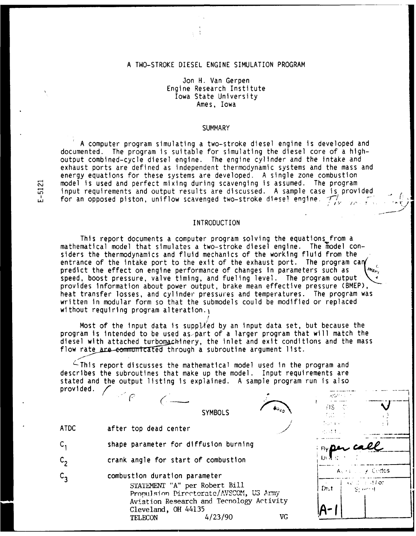## A TWO-STROKE DIESEL ENGINE SIMULATION PROGRAM

Jon H. Van Gerpen Engine Research Institute Iowa State University Ames, Iowa

### **SUMMARY**

A computer program simulating a two-stroke diesel engine is developed and documented. The program is suitable for simulating the diesel core of a highoutput combined-cycle diesel engine. The engine cylinder and the intake and exhaust ports are defined as independent thermodynamic systems and the mass and energy equations for these systems are developed. A single zone combustion model is used and perfect mixing during scavenging is assumed. The program<br>  $\vec{r}$  input requirements and output results are discussed. A sample case is prov<br>
for an opposed piston, uniflow scavenged two-stroke diese! en input requirements and output results are discussed. A sample case is provided for an opposed piston, uniflow scavenged two-stroke diesel engine.  $\mathcal{T}/$ 

## INTRODUCTION

This report documents a computer program solving the equations from a mathematical model that simulates a two-stroke diesel engine. The model considers the thermodynamics and fluid mechanics of the working fluid from the entrance of the intake port to the exit of the exhaust port. The program can predict the effect on engine performance of changes in parameters such as speed, boost pressure, valve timing, and fueling level. The program output provides information about power output, brake mean effective pressure (BMEP), heat transfer losses, and cylinder pressures and temperatures. The program was written in modular form so that the submodels could be modified or replaced without requiring program alteration. $<sub>1</sub>$ </sub> **I**

Most of the input data is supplied by an input data set, but because the program is intended to be used as part of a larger program that will match the diesel with attached turbomachinery, the inlet and exit conditions and the mass flow rate are communicated through a subroutine argument list.

 $\overline{\mathcal{L}}$ This report discusses the mathematical model used in the program and describes the subroutines that make up the model. Input requirements are stated and the output listing is explained. A sample program run is also provided.  $\angle$ 

| <b>ATDC</b>   | $\mathbb{R}^n \mathcal{C}$<br>$A_{Bd,0}$<br><b>SYMBOLS</b><br>after top dead center                      | adam silin<br>$HS \quad \mathbb{C}$<br>dependence.<br>经运动制度                              |
|---------------|----------------------------------------------------------------------------------------------------------|------------------------------------------------------------------------------------------|
|               | shape parameter for diffusion burning                                                                    | <b>Englan Co</b>                                                                         |
| $\mathsf{c},$ | crank angle for start of combustion                                                                      |                                                                                          |
|               | combustion duration parameter<br>STATEMENT "A" per Robert Bill<br>Propulsion Directorate/AVSCOM, US Army | $A_1 \leftrightarrow A_2 \lor A_3$ Cedos<br>$AC \div A$ (see All or )<br>D:1<br>ਾਉਂ ਦਾ ਸ |
|               | Aviation Research and Tecnology Activity<br>Cleveland, OH 44135<br>VG<br>4/23/90<br><b>TELECON</b>       |                                                                                          |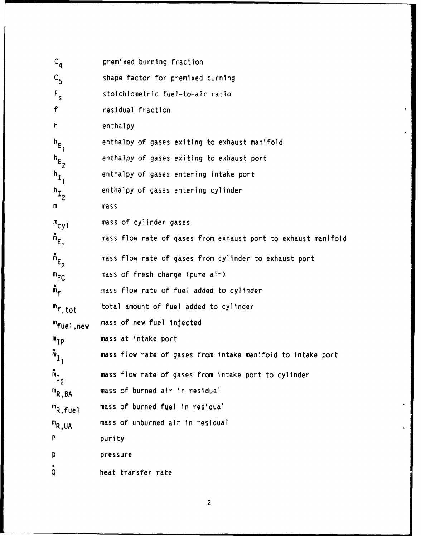| $C_{\mathbf{A}}$      | premixed burning fraction                                     |
|-----------------------|---------------------------------------------------------------|
| $c_{\bf 5}$           | shape factor for premixed burning                             |
| $F_{s}$               | stoichiometric fuel-to-air ratio                              |
| f                     | residual fraction                                             |
| h.                    | enthalpy                                                      |
| $h_E$ ,               | enthalpy of gases exiting to exhaust manifold                 |
| $h_{E_2}$             | enthalpy of gases exiting to exhaust port                     |
| $h_{I_1}$             | enthalpy of gases entering intake port                        |
| $h_{I_2}$             | enthalpy of gases entering cylinder                           |
| m                     | mas <sub>s</sub>                                              |
| $m_{cy1}$             | mass of cylinder gases                                        |
| $m_E$ <sub>1</sub>    | mass flow rate of gases from exhaust port to exhaust manifold |
| $m_E$                 | mass flow rate of gases from cylinder to exhaust port         |
| $m_{FC}$              | mass of fresh charge (pure air)                               |
| $m_{\tilde{f}}$       | mass flow rate of fuel added to cylinder                      |
| $m_f$ , tot           | total amount of fuel added to cylinder                        |
| <sup>m</sup> fuel,new | mass of new fuel injected                                     |
| ${}^{\mathsf{m}}$ IP  | mass at intake port                                           |
| $m_{\overline{1}}$    | mass flow rate of gases from intake manifold to intake port   |
| $\mathring{m}_{I_2}$  | mass flow rate of gases from intake port to cylinder          |
| $m_{R,BA}$            | mass of burned air in residual                                |
| $m_{R, \text{fuel}}$  | mass of burned fuel in residual                               |
| $m_{R,UA}$            | mass of unburned air in residual                              |
| p                     | purity                                                        |
| p                     | pressure                                                      |
| Q                     | heat transfer rate                                            |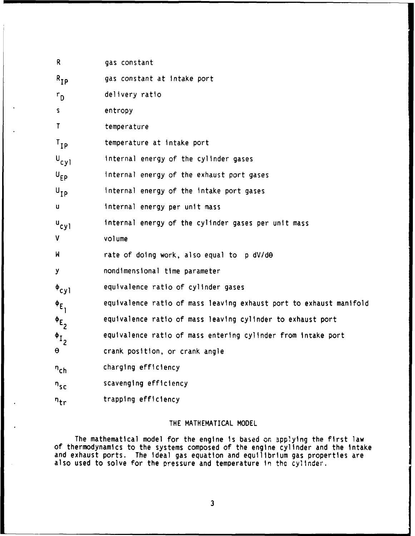| R.                | gas constant                                                       |
|-------------------|--------------------------------------------------------------------|
| $R_{IP}$          | gas constant at intake port                                        |
| $r_{\rm D}$       | delivery ratio                                                     |
| S.                | entropy                                                            |
| T                 | temperature                                                        |
| $T_{IP}$          | temperature at intake port                                         |
| $U_{\text{cyl}}$  | internal energy of the cylinder gases                              |
| $U_{EP}$          | internal energy of the exhaust port gases                          |
| $U_{\mathbf{p}}$  | internal energy of the intake port gases                           |
| u                 | internal energy per unit mass                                      |
| $u_{cyl}$         | internal energy of the cylinder gases per unit mass                |
| V                 | volume                                                             |
| M                 | rate of doing work, also equal to p dV/dO                          |
| y                 | nondimensional time parameter                                      |
| $\Phi_{\rm cyl}$  | equivalence ratio of cylinder gases                                |
| $\Phi_{E_1}$      | equivalence ratio of mass leaving exhaust port to exhaust manifold |
| $\Phi_{E_2}$      | equivalence ratio of mass leaving cylinder to exhaust port         |
| $\Phi_{I_2}$      | equivalence ratio of mass entering cylinder from intake port       |
| θ                 | crank position, or crank angle                                     |
| $n_{ch}$          | charging efficiency                                                |
| $n_{SC}$          | scavenging efficiency                                              |
| $n_{\mathsf{tr}}$ | trapping efficiency                                                |

# THE MATHEMATICAL MODEL

The mathematical model for the engine is based on applylng the first law of thermodynamics to the systems composed of the engine cylinder and the intake and exhaust ports. The ideal gas equation and equilibrium gas properties are also used to solve for the pressure and temperature In the cylinder.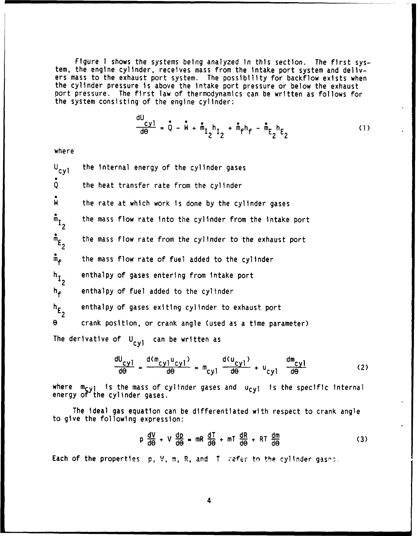Figure **1** shows the systems being analyzed in this section. The first system, the engine cylinder, receives mass from the intake port system and delivers mass to the exhaust port system. The possibility for backflow exists when the cylinder pressure is above the intake port pressure or below the exhaust port pressure. The first law of thermodynamics can be written as follows for the system consisting of the engine cylinder:

**du** 

$$
\frac{dy}{d\theta} = \dot{Q} - \dot{W} + \dot{m}_{I_2} h_{I_2} + \dot{m}_{f} h_{f} - \dot{m}_{E_2} h_{E_2}
$$
 (1)

where

 $U_{\text{cyl}}$  the internal energy of the cylinder gases O the heat transfer rate from the cylinder **M** the rate at which work is done by the cylinder gases  $\mathring{m}_{\tau}$  the mass flow rate into the cylinder from the intake port  $\mathbf{m}_{\mathbf{F}_{\perp}}$  the mass flow rate from the cylinder to the exhaust port  $\tilde{m}_{\tilde{r}}$  the mass flow rate of fuel added to the cylinder h **I** enthalpy of gases entering from intake port  $h_f$  enthalpy of fuel added to the cylinder  $h_F$  enthalpy of gases exiting cylinder to exhaust port **e** crank position, or crank angle (used as a time parameter) The derivative of  $U_{cyl}$  can be written as

$$
\frac{dU_{cyl}}{d\theta} = \frac{d(m_{cyl}u_{cyl})}{d\theta} = m_{cyl} \frac{d(u_{cyl})}{d\theta} + u_{cyl} \frac{dm_{cyl}}{d\theta}
$$
 (2)

where  $m_{cyl}$  is the mass of cylinder gases and  $u_{cyl}$  is the specific internal energy of the cylinder gases.

The ideal gas equation can be differentiated with respect to crank angle to give the following expression:

$$
p \frac{dV}{d\theta} + V \frac{dp}{d\theta} = mR \frac{dT}{d\theta} + mT \frac{dR}{d\theta} + RT \frac{dm}{d\theta}
$$
 (3)

Each of the properties p, V, m, R, and T refer to the cylinder gases.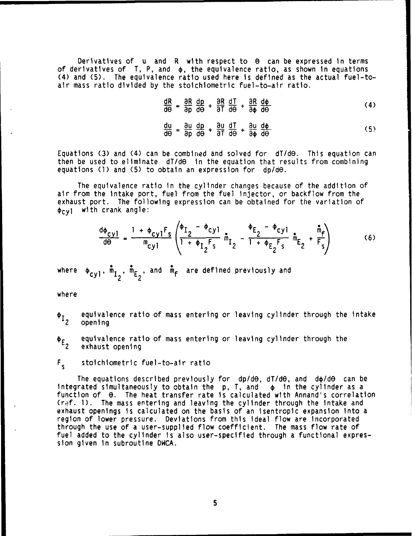Derivatives of u and R with respect to G can be expressed in terms of derivatives of  $\,$  T, P, and  $\,$   $\,$   $\,$   $\,$   $\,$  the equivalence ratio, as shown in equations (4) and (5). The equivalence ratio used here is defined as the actual fuel-toair mass ratio divided by the stoichiometric fuel-to-air ratio.

$$
\frac{dR}{d\Theta} = \frac{\partial R}{\partial p}\frac{dp}{d\Theta} + \frac{\partial R}{\partial T}\frac{dT}{d\Theta} + \frac{\partial R}{\partial \phi}\frac{d\phi}{d\Theta}
$$
 (4)

$$
\frac{d\theta}{d\theta} = \frac{\partial p}{\partial u} \frac{d\theta}{d\theta} + \frac{\partial r}{\partial u} \frac{d\theta}{d\theta} + \frac{\partial u}{\partial u} \frac{d\phi}{d\phi}
$$
 (5)

Equations (3) and (4) can be combined and solved for dT/de. This equation can then be used to eliminate dT/d $\Theta$  in the equation that results from combining equations **(1)** and (5) to obtain an expression for dp/de.

The equivalence ratio in the cylinder changes because of the addition of air from the intake port, fuel from the fuel injector, or backflow from the exhaust port. The following expression can be obtained for the variation of  $\phi_{\text{cyl}}$  with crank angle:

$$
\frac{d\phi_{cyl}}{d\theta} = \frac{1 + \phi_{cyl}F_S}{m_{cyl}} \left( \frac{\phi_{I_2} - \phi_{cyl}}{1 + \phi_{I_2}F_S} \hat{m}_{I_2} - \frac{\phi_{E_2} - \phi_{cyl}}{1 + \phi_{E_2}F_S} \hat{m}_{E_2} + \frac{\hat{m}_f}{F_S} \right)
$$
(6)

where  $\phi_{cyl}$ ,  $\tilde{m}_{I_2}$ ,  $\tilde{m}_{E_2}$ , and  $\tilde{m}_{f}$  are defined previously and

where

- $\phi_{I_a}$  equivalence ratio of mass entering or leaving cylinder through the intake opening
- $\phi_{E_n}$  equivalence ratio of mass entering or leaving cylinder through the<br> exhaust opening

## F<sub>s</sub> stoichiometric fuel-to-air ratio

The equations described previously for  $dp/d\theta$ , dT/d $\theta$ , and  $d\phi/d\theta$  can be integrated simultaneously to obtain the  $p$ ,  $T$ , and  $\phi$  in the cylinder as a function of e. The heat transfer rate is calculated with Annand's correlation (ref. **1).** The mass entering and leaving the cylinder through the intake and exhaust openings is calculated on the basis of an isentropic expansion into a region of lower pressure. Deviations from this ideal flow are incorporated through the use of a user-supplied flow coefficient. The mass flow rate of fuel added to the cylinder is also user-specified through a functional expression given in subroutine DWCA.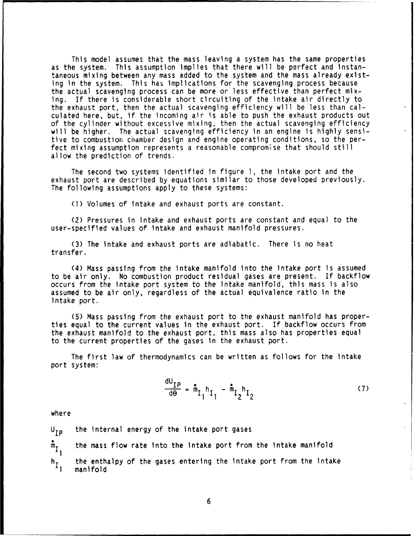This model assumes that the mass leaving a system has the same properties as the system. This assumption implies that there will be perfect and instantaneous mixing between any mass added to the system and the mass already existing in the system. This has implications for the scavenging process because the actual scavenging process can be more or less effective than perfect mixing. If there is considerable short circuiting of the intake air directly to the exhaust port, then the actual scavenging efficiency will be less than calculated here, but, if the incoming air is able to push the exhaust products out of the cylinder without excessive mixing, then the actual scavenging efficiency will be higher. The actual scavenging efficiency in an engine is highly sensitive to combustion chamber design and engine operating conditions, so the perfect mixing assumption represents a reasonable compromise that should still allow the prediction of trends.

The second two systems identified in figure **1,** the intake port and the exhaust port are described by equations similar to those developed previously. The following assumptions apply to these systems:

**(1)** Volumes of intake and exhaust ports are constant.

(2) Pressures in intake and exhaust ports are constant and equal to the user-specified values of intake and exhaust manifold pressures.

(3) The intake and exhaust ports are adiabatic. There is no heat transfer.

(4) Mass passing from the intake manifold into the intake port Is assumed to be air only. No combustion product residual gases are present. If backflow occurs from the intake port system to the intake manifold, this mass is also assumed to be air only, regardless of the actual equivalence ratio in the intake port.

(5) Mass passing from the exhaust port to the exhaust manifold has properties equal to the current values in the exhaust port. If backflow occurs from the exhaust manifold to the exhaust port, this mass also has properties equal to the current properties of the gases in the exhaust port.

The first law of thermodynamics can be written as follows for the intake port system:

$$
\frac{dU_{IP}}{d\Theta} = \hat{m}_{I_1} h_{I_1} - \hat{m}_{I_2} h_{I_2}
$$
 (7)

where

$$
U_{IP}
$$
 the internal energy of the intake port gases  
\n $m_{I_1}$  the mass flow rate into the intake port from the intake manifold  
\nthe enthalpy of the gases entering the intake port from the intake  
\nmanifold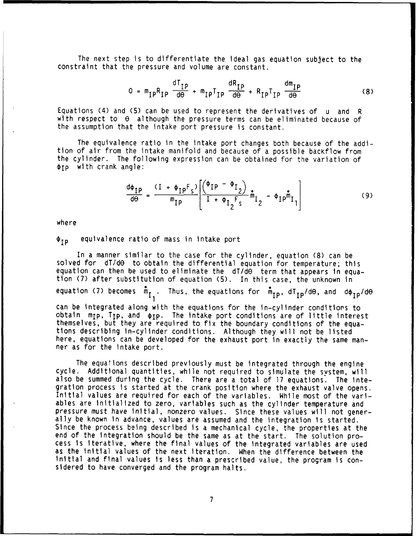The next step is to differentiate the ideal gas equation subject to the constraint that the pressure and volume are constant.

$$
0 = m_{IP}R_{IP} \frac{dT_{IP}}{d\theta} + m_{IP}T_{IP} \frac{dR_{IP}}{d\theta} + R_{IP}T_{IP} \frac{dm_{IP}}{d\theta}
$$
 (8)

Equations (4) and (5) can be used to represent the derivatives of u and R with respect to  $\theta$  although the pressure terms can be eliminated because of the assumption that the intake port pressure is constant.

The equivalence ratio in the intake port changes both because of the addition of air from the intake manifold and because of a possible bacKflow from the cylinder. The following expression can be obtained for the variation of  $\phi$ Ip with crank angle:

$$
\frac{d\phi_{IP}}{d\theta} = \frac{(I + \phi_{IP}F_s)}{m_{IP}} \left[ \frac{\left(\phi_{IP} - \phi_{I_2}\right)}{I + \phi_{I_2}F_s} \hat{m}_{I_2} - \phi_{IP} \hat{m}_{I_1} \right]
$$
(9)

where

**¢IP** equivalence ratio of mass in intake port

In a manner similar to the case for the cylinder, equation (8) can be solved for dT/dO to obtain the differential equation for temperature; this equation can then be used to eliminate the dT/d0 term that appears in equa-<br>tion (7) after substitution of equation (5). In this case, the unknown in equation (7) becomes  $\mathring{m}_{I_1}$ . Thus, the equations for  $\mathring{m}_{IP}$ ,  $dT_{IP}/d\theta$ , and  $d\phi_{IP}/d\theta$ can be integrated along with the equations for the in-cylinder conditions to obtain m<sub>IP</sub>, T<sub>IP</sub>, and  $\phi$ <sub>IP</sub>. The intake port conditions are of little interest themselves, but they are required to fix the boundary conditions of the equations describing in-cylinder conditions. Although they will not be listed here, equations can be developed for the exhaust port in exactly the same manner as for the intake port.

The equations described previously must be integrated through the engine cycle. Additional quantities, while not required to simulate the system, will also be summed during the cycle. There are a total of 17 equations. The integration process is started at the crank position where the exhaust valve opens. Initial values are required for each of the variables. While most of the variables are Initialized to zero, variables such as the cylinder temperature and pressure must have Initial, nonzero values. Since these values will not generally be known in advance, values are assumed and the integration is started. Since the process being described is a mechanical cycle, the properties at the end of the integration should be the same as at the start. The solution process is Iterative, where the final values of the integrated variables are used as the initial values of the next iteration. When the difference between the initial and final values is less than a prescribed value, the program is considered to have converged and the program halts.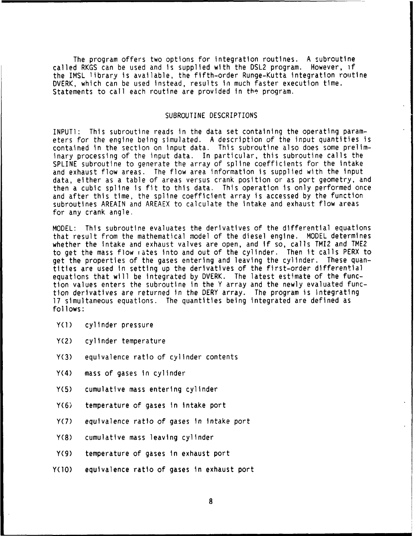The program offers two options for integration routines. A subroutine called RKGS can be used and is supplied with the DSL2 program. However, if the IMSL library is available, the fifth-order Runge-Kutta integration routine DVERK, which can be used instead, results in much faster execution time. Statements to call each routine are provided in the program.

## SUBROUTINE DESCRIPTIONS

INPUT1: This subroutine reads in the data set containing the operating parameters for the engine being simulated. A description of the input quantities is contained in the section on input data. This subroutine also does some preliminary processing of the input data. In particular, this subroutine calls the SPLINE subroutine to generate the array of spline coefficients for the intake and exhaust flow areas. The flow area information is supplied with the input data, either as a table of areas versus crank position or as port geometry, and then a cubic spline is fit to this data. This operation is only performed once and after this time, the spline coefficient array is accessed by the function subroutines AREAIN and AREAEX to calculate the intake and exhaust flow areas for any crank angle.

MODEL: This subroutine evaluates the derivatives of the differential equations that result from the mathematical model of the diesel engine. MODEL determines whether the intake and exhaust valves are open, and if so, calls TMI2 and TME2 to get the mass flow rates into and out of the cylinder. Then it calls PERX to get the properties of the gases entering and leaving the cylinder. These quantities are used in setting up the derivatives of the first-order differential equations that will be integrated by DVERK. The latest estimate of the function values enters the subroutine in the Y array and the newly evaluated function derivatives are returned in the DERY array. The program is integrating 17 simultaneous equations. The quantities being integrated are defined as follows:

- Y(l) cylinder pressure
- Y(2) cylinder temperature
- Y(3) equivalence ratio of cylinder contents
- Y(4) mass of gases in cylinder
- Y(5) cumulative mass entering cylinder
- Y(6) temperature of gases in intake port
- Y(7) equivalence ratio of gases in intake port
- Y(8) cumulative mass leaving cylinder
- Y(9) temperature of gases in exhaust port
- Y(lO) equivalence ratio of gases in exhaust port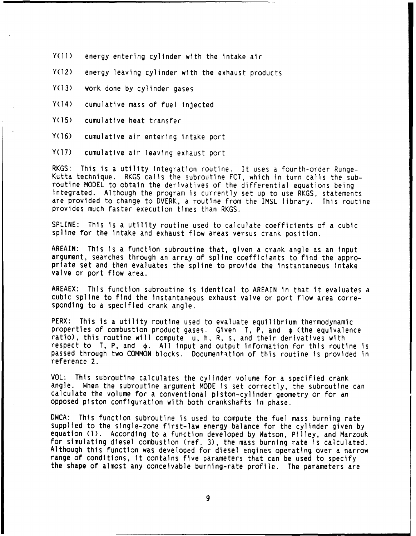- Y(11) energy entering cylinder with the intake air
- Y(12) energy leaving cylinder with the exhaust products
- Y(13) work done by cylinder gases
- Y(14) cumulative mass of fuel injected
- Y(15) cumulative heat transfer
- Y(16) cumulative air entering intake port
- Y(17) cumulative air leaving exhaust port

RKGS: This is a utility integration routine. It uses a fourth-order Runge-Kutta technique. RKGS calls the subroutine FCT, which in turn calls the sub-<br>routine MODEL to obtain the derivatives of the differential equations being integrated. Although the program is currently set up to use RKGS, statements are provided to change to DVERK, a routine from the IMSL library. This routine provides much faster execution times than RKGS.

SPLINE: This is a utility routine used to calculate coefficients of a cubic spline for the intake and exhaust flow areas versus crank position.

AREAIN: This is a function subroutine that, given a crank angle as an input<br>argument, searches through an array of spline coefficients to find the appropriate set and then evaluates the spline to provide the instantaneous intake valve or port flow area.

AREAEX: This function subroutine is identical to AREAIN in that it evaluates a cubic spline to find the instantaneous exhaust valve or port flow area corresponding to a specified crank angle.

PERX: This is a utility routine used to evaluate equilibrium thermodynamic properties of combustion product gases. Given T, P, and  $\phi$  (the equivalence ratio), this routine will compute u, h, R, s, and their derivatives with respect to  $T$ , P, and  $\phi$ . All input and output information for this routine is passed through two COMMON blocks. Documentation of this routine is provided In reference 2.

VOL- This subroutine calculates the cylinder volume for a specified crank angle. When the subroutine argument MODE is set correctly, the subroutine can calculate the volume for a conventional piston-cylinder geometry or for an opposed piston configuration with both crankshafts in phase.

DWCA: This function subroutine is used to compute the fuel mass burning rate supplied to the single-zone first-law energy balance for the cylinder given by equation **(1).** According to a function developed by Watson, Pilley, and Marzouk for simulating diesel combustion (ref. 3), the mass burning rate is calculated. Although this function was developed for diesel engines operating over a narrow range of conditions, it contains five parameters that can be used to specify the shape of almost any conceivable burning-rate profile. The parameters are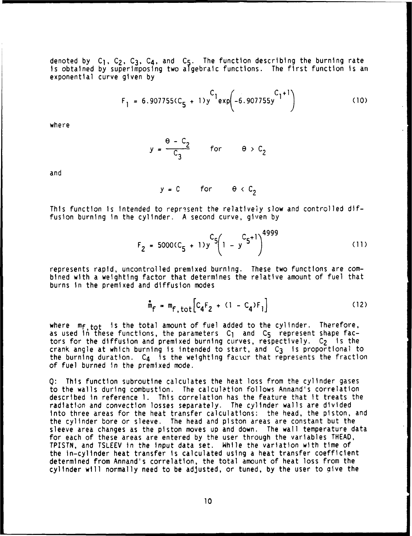denoted by C<sub>1</sub>, C<sub>2</sub>, C<sub>3</sub>, C<sub>4</sub>, and C<sub>5</sub>. The function describing the burning rate is obtained by superimposing two algebraic functions. The first function is an exponential curve given by

$$
F_1 = 6.907755(C_5 + 1)y^{C_1} exp(-6.907755y^{C_1+1})
$$
 (10)

where

$$
y = \frac{\theta - C_2}{C_3} \quad \text{for} \quad \theta > C_2
$$

and

 $y = C$  for  $\theta \in C_2$ 

This function is intended to represent the relatively slow and controlled diffusion burning in the cylinder. A second curve, given by

$$
F_2 = 5000(C_5 + 1)y^{C_5}\left(1 - y^{C_5 + 1}\right)^{4999}
$$
 (11)

للمستدم

represents rapid, uncontrolled premixed burning. These two functions are combined with a weighting factor that determines the relative amount of fuel that burns In the premixed and diffusion modes

$$
\mathbf{\hat{m}}_{\mathbf{f}} = \mathbf{m}_{\mathbf{f}, \text{tot}} \left[ C_{4} F_{2} + (1 - C_{4}) F_{1} \right]
$$
 (12)

where  $m_{f,tot}$  is the total amount of fuel added to the cylinder. Therefore, as used in these functions, the parameters  $C_1$  and  $C_5$  represent shape factors for the diffusion and premixed burning curves, respectively. C<sub>2</sub> is the crank angle at which burning is intended to start, and C3 is proportional to the burning duration.  $C_4$  is the weighting factor that represents the fraction of fuel burned In the premixed mode.

**Q:** This function subroutine calculates the heat loss from the cylinder gases to the walls during combustion. The calculation follows Annand's correlation described in reference **1.** This correlation has the feature that it treats the radiation and convection losses separately. The cylinder walls are divided into three areas for the heat transfer calculations: the head, the piston, and the cylinder bore or sleeve. The head and piston areas are constant but the sleeve area changes as the piston moves up and down. The wall temperature data for each of these areas are entered by the user through the variables THEAD, TPISTN, and TSLEEV in the input data set. While the variation with time of the in-cylinder heat transfer is calculated using a heat transfer coefficient determined from Annand's correlation, the total amount of heat loss from the cylinder will normally need to be adjusted, or tuned, by the user to qive the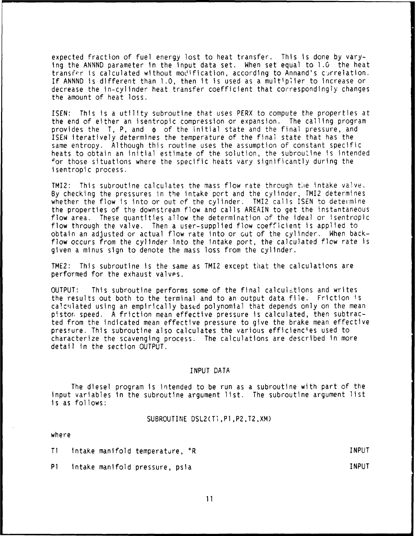expected fraction of fuel energy lost to heat transfer. This is done by varying the ANNND parameter in the input data set. When set equal to 1.0 the heat transfer is calculated without modification, according to Annand's c'rrelation. If ANNND is different than 1.0, then it is used as a multiplier to increase or decrease the in-cylinder heat transfer coefficient that correspondingly changes the amount of heat loss.

ISEN: This is a utility subroutine that uses PERX to compute the properties at the end of either an isentropic compression or expansion. The calling program provides the  $T$ , P, and  $\phi$  of the initial state and the final pressure, and ISEN iteratively determines the temperature of the final state that has the same entropy. Although this routine uses the assumption of constant specific heats to obtain an initial estimate of the solution, the subroutine is intended for those situations where the specific heats vary significantly during the isentropic process.

TMI2: This subroutine calculates the mass flow rate through the intake valve. By checking the pressures in the intake port and the cylinder, TMI2 determines whether the flow is into or out of the cylinder. TMI2 calls ISEN to determine the properties of the downstream flow and calls AREAIN to get the instantaneous flow area. These quantities allow the determination of the ideal or isentropic flow through the valve. Then a user-supplied flow coefficient is applied to obtain an adjusted or actual flow rate into or out of the cylinder. When backflow occurs from the cylinder into the intake port, the calculated flow rate is given a minus sign to denote the mass loss from the cylinder.

TME2: This subroutine is the same as TMI2 except that the calculations are performed for the exhaust valves.

OUTPUT: This subroutine performs some of the final calculations and writes the results out both to the terminal and to an output data file. Friction is calculated using an empirically based polynomial that depends only on the mean pistor, speed. A friction mean effective pressure is calculated, then subtracted from the indicated mean effective pressure to give the brake mean effective pressure. This subroutine also calculates the various efficiencies used to characterize the scavenging process. The calculations are described in more detail in the section OUTPUT.

### INPUT DATA

The diesel program is intended to be run as a subroutine with part of the input variables in the subroutine argument list. The subroutine argument list is as follows:

SUBROUTINE DSL2(TI,Pl,P2,T2,XM)

where

TI intake manifold temperature, \*R INPUT

- P1 intake manifold pressure, psia INPUT
	- 11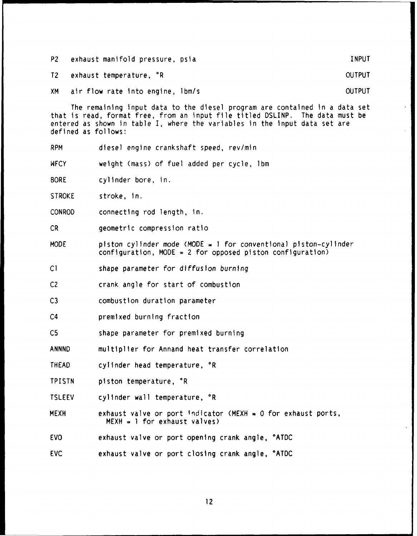P2 exhaust manifold pressure, psia INPUT

T2 exhaust temperature, OR OUTPUT

XM air flow rate into engine, lbm/s OUTPUT

The remaining input data to the diesel program are contained in a data set that is read, format free, from an input file titled DSLINP. The data must be entered as shown in table I, where the variables in the Input data set are defined as follows:

RPM diesel engine crankshaft speed, rev/min

WFCY weight (mass) of fuel added per cycle, lbm

BORE cylinder bore, in.

STROKE stroke, in.

CONROD connecting rod length, in.

CR geometric compression ratio

MODE piston cylinder mode (MODE **.** 1 for conventional piston-cylinder configuration, MODE = 2 for opposed piston configuration)

**Cl** shape parameter for diffusion burning

C2 crank angle for start of combustion

C3 combustion duration parameter

C4 premixed burning fraction

C5 shape parameter for premixed burning

ANNND multiplier for Annand heat transfer correlation

THEAD cylinder head temperature, °R

TPISTN piston temperature,  $^{\circ}R$ 

TSLEEV cylinder wall temperature, °R

MEXH exhaust valve or port indicator (MEXH **-** 0 for exhaust ports, MEXH = **1** for exhaust valves)

EVO exhaust valve or port opening crank angle, °ATDC

EVC exhaust valve or port closing crank angle, °ATDC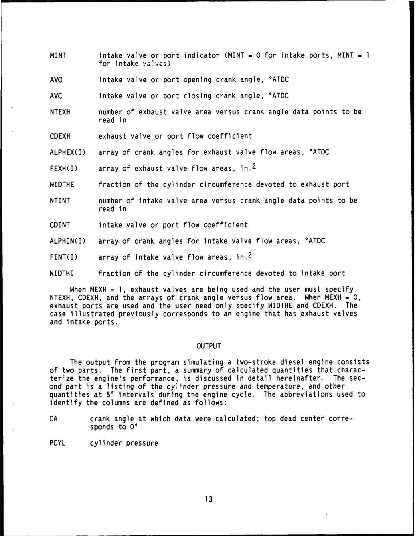- MINT intake valve or port indicator (MINT **=** 0 for intake ports, MINT = **I** for intake valves)
- AVO intake valve or port opening crank angle, °ATDC
- **AVC** intake valve or port closing crank angle, °ATDC
- NTEXH number of exhaust valve area versus crank angle data points to be read in

CDEXH exhaust valve or port flow coefficient

ALPHEX(I) array of crank angles for exhaust valve flow areas, °ATDC

FEXH(I) array of exhaust valve flow areas,  $in.^2$ 

- WIDTHE fraction of the cylinder circumference devoted to exhaust port
- NTINT number of intake valve area versus crank angle data points to be read in
- CDINT intake valve or port flow coefficient
- ALPHIN(I) array of crank angles for intake valve flow areas, °ATDC

FINT(I) array of intake valve flow areas, in.<sup>2</sup>

WIDTHI fraction of the cylinder circumference devoted to intake port

When MEXH = **1,** exhaust valves are being used and the user must specify NTEXH, CDEXH, and the arrays of crank angle versus flow area. When MEXH = **0,** exhaust ports are used and the user need only specify WIDTHE and CDEXH. The case illustrated previously corresponds to an engine that has exhaust valves and intake ports.

#### OUTPUT

The output from the program simulating a two-stroke diesel engine consists of two parts. The first part, a summary of calculated quantities that characterize the engine's performance, is discussed in detail hereinafter. The second part is a listing of the cylinder pressure and temperature, and other quantities at **50** intervals during the engine cycle. The abbreviations used to identify the columns are defined as follows:

- CA crank angle at which data were calculated; top dead center corresponds to 0°
- PCYL cylinder pressure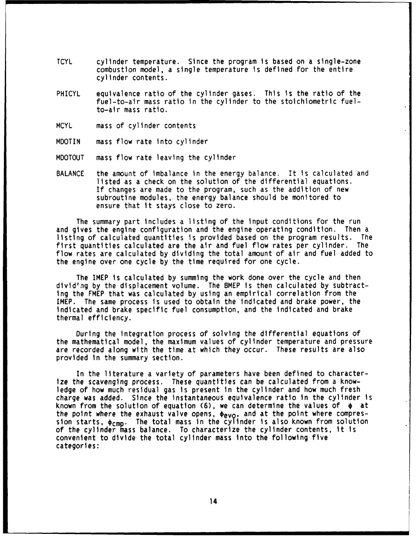- TCYL cylinder temperature. Since the program is based on a single-zone combustion model, a single temperature is defined for the entire cylinder contents.
- PHICYL equivalence ratio of the cylinder gases. This is the ratio of the fuel-to-air mass ratio in the cylinder to the stoichiometric fuelto-air mass ratio.
- MCYL mass of cylinder contents
- MDOTIN mass flow rate into cylinder
- MDOTOUT mass flow rate leaving the cylinder
- BALANCE the amount of imbalance in the energy balance. It is calculated and listed as a check on the solution of the differential equations. If changes are made to the program, such as the addition of new subroutine modules, the energy balance should be monitored to ensure that it stays close to zero.

The summary part includes a listing of the input conditions for the run and gives the engine configuration and the engine operating condition. Then a listing of calculated quantities is provided based on the program results. The first quantities calculated are the air and fuel flow rates per cylinder. The flow rates are calculated by dividing the total amount of air and fuel added to the engine over one cycle by the time required for one cycle.

The IMEP is calculated by summing the work done over the cycle and then divid'ng by the displacement volume. The BMEP is then calculated by subtracting the FMEP that was calculated by using an empirical correlation from the IMEP. The same process is used to obtain the indicated and brake power, the indicated and brake specific fuel consumption, and the indicated and brake thermal efficiency.

During the integration process of solving the differential equations of the mathematical model, the maximum values of cylinder temperature and pressure are recorded along with the time at which they occur. These results are also provided in the summary section.

In the literature a variety of parameters have been defined to characterize the scavenging process. These quantities can be calculated from a knowledge of how much residual gas is present in the cylinder and how much fresh charge was added. Since the instantaneous equivalence ratio in the cylinder is known from the solution of equation (6), we can determine the values of  $\phi$  at the point where the exhaust valve opens,  $\phi_{evo}$ , and at the point where compression starts,  $\phi_{\text{CMD}}$ . The total mass in the cylinder is also known from solution of the cylinder mass balance. To characterize the cylinder contents, it is convenient to divide the total cylinder mass into the following five categories: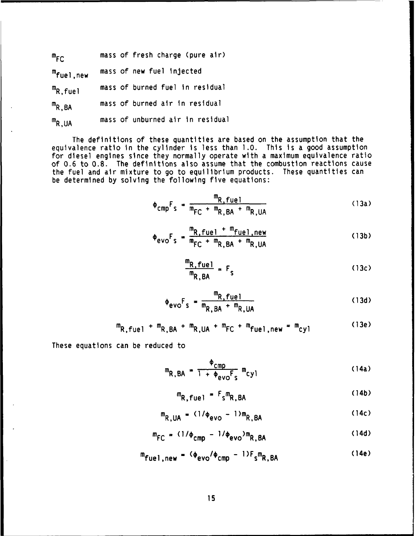| $m_{FC}$                | mass of fresh charge (pure air)  |
|-------------------------|----------------------------------|
| <sup>m</sup> fuel,new   | mass of new fuel injected        |
| $m_{R, \, \text{fuel}}$ | mass of burned fuel in residual  |
| $m_{R,BA}$              | mass of burned air in residual   |
| $m_{R,UA}$              | mass of unburned air in residual |

The definitions of these quantities are based on the assumption that the equivalence ratio in the cylinder is less than **1.0.** This is a good assumption for diesel engines since they normally operate with a maximum equivalence ratio of 0.6 to **0.8.** The definitions also assume that the combustion reactions cause the fuel and air mixture to go to equilibrium products. These quantities can be determined by solving the following five equations:

$$
\Phi_{\text{cmp}}F_{\text{s}} = \frac{m_{\text{R,fuel}}}{m_{\text{FC}} + m_{\text{R, BA}} + m_{\text{R,UA}}}
$$
 (13a)

$$
\phi_{\text{evo}}F_s = \frac{m_{R, \text{fuel}} + m_{\text{fuel}, \text{new}}}{m_{\text{FC}} + m_{R, \text{BA}} + m_{R, \text{UA}}}
$$
(13b)

$$
\frac{m_{R, fuel}}{m_{R, BA}} = F_s \tag{13c}
$$

$$
\Phi_{\text{evo}}F_{\text{s}} = \frac{m_{\text{R, fuel}}}{m_{\text{R, BA}} + m_{\text{R, UA}}}
$$
 (13d)

$$
m_{R,fuel1} + m_{R,BA} + m_{R,UA} + m_{FC} + m_{fuel1,new} = m_{cyl}
$$
 (13e)

These equations can be reduced to

$$
m_{R,BA} = \frac{\Phi_{cmp}}{1 + \Phi_{evo}F_s} m_{cyl}
$$
 (14a)

$$
m_{R, fuel} = F_{s}m_{R,BA}
$$
 (14b)

$$
m_{R,UA} = (1/\phi_{evo} - 1)m_{R,BA}
$$
 (14c)

$$
m_{FC} = (1/\phi_{cmp} - 1/\phi_{evo})m_{R,BA}
$$
 (14d)

$$
m_{\text{fuel},\text{new}} = (4.4 \text{eV}) \cdot (4.4 \text{eV})
$$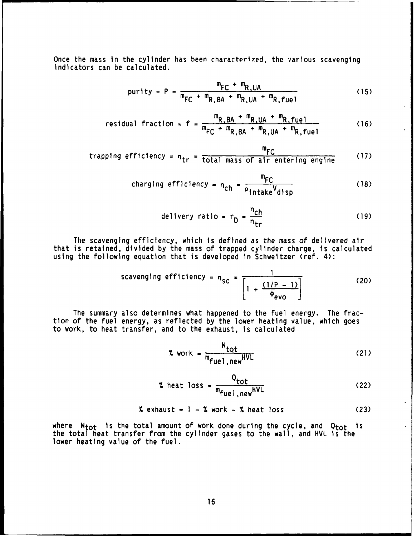Once the mass in the cylinder has been characterized, the various scavenging indicators can be calculated.

$$
purity = P = \frac{m_{FC} + m_{R,UA}}{m_{FC} + m_{R,BA} + m_{R,UA} + m_{R,fuel}}
$$
 (15)

$$
residual fraction = f = \frac{m_{R,BA} + m_{R,UA} + m_{R,fuel}}{m_{FC} + m_{R,BA} + m_{R,UA} + m_{R,fuel}}
$$
(16)

$$
trapping efficiency = ntr = \frac{m_{FC}}{total mass of air entering engine}
$$
 (17)

$$
changing efficiency = n_{ch} = \frac{m_{FC}}{\rho_{intake}V_{disp}}
$$
 (18)

$$
\text{deltvery ratio} = r_{\text{D}} = \frac{n_{\text{ch}}}{n_{\text{tr}}} \tag{19}
$$

The scavenging efficiency, which is defined as the mass of delivered air that is retained, divided by the mass of trapped cylinder charge, is calculated using the following equation that is developed in Schweitzer (ref. 4):

scavending efficiency = 
$$
\eta_{SC} = \frac{1}{\left[1 + \frac{(1/P - 1)}{\Phi_{evo}}\right]}
$$
 (20)

The summary also determines what happened to the fuel energy. The fraction of the fuel energy, as reflected **by** the lower heating value, which goes to work, to heat transfer, and to the exhaust, is calculated

$$
x \text{ work} = \frac{W_{\text{tot}}}{m_{\text{fuel1, new}} HVL}
$$
 (21)

$$
\text{% heat loss} = \frac{Q_{\text{tot}}}{m_{\text{fuel}}, \text{new}} \tag{22}
$$

$$
\text{% } \mathsf{exhaust} = 1 - \text{% } \mathsf{work} - \text{% } \mathsf{heat} \text{ loss} \tag{23}
$$

where  $W_{\text{tot}}$  is the total amount of work done during the cycle, and Q<sub>tot</sub> is the total heat transfer from the cylinder gases to the wall, and HVL is the lower heating value of the fuel.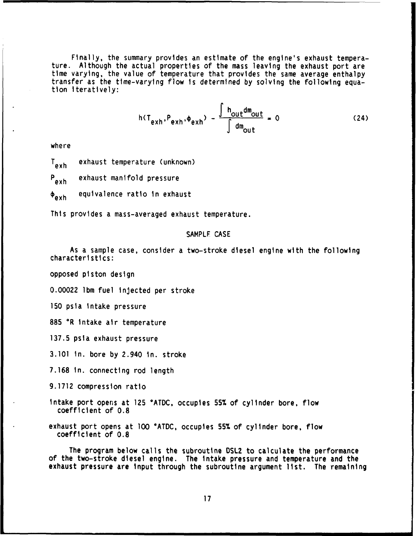Finally, the summary provides an estimate of the engine's exhaust temperature. Although the actual properties of the mass leaving the exhaust port are time varying, the value of temperature that provides the same average enthalpy transfer as the time-varying flow is determined by solving the following equation iteratively:

$$
h(T_{exh}, P_{exh}, \phi_{exh}) - \frac{\int h_{out} dm_{out}}{\int dm_{out}} = 0
$$
 (24)

where

T<sub>axh</sub> exhaust temperature (unknown)

P<sub>exh</sub> exhaust manifold pressure

 $\phi_{\alpha xh}$  equivalence ratio in exhaust

This provides a mass-averaged exhaust temperature.

## SAMPLF CASE

As a sample case, consider a two-stroke diesel engine with the following characteristics:

opposed piston design

0.00022 Ibm fuel injected per stroke

**150** psia intake pressure

885 °R intake air temperature

**137.5** psia exhaust pressure

**3.101** in. bore by 2.940 in. stroke

**7.168** in. connecting rod length

**9.1712** compression ratio

intake port opens at **125** °ATDC, occupies **55%** of cylinder bore, flow coefficient of **0.8**

exhaust port opens at **100** °ATDC, occupies **55%** of cylinder bore, flow coefficient of **0.8**

The program below calls the subroutine **DSL2** to calculate the performance of the two-stroke diesel engine. The intake pressure and temperature and the exhaust pressure are input through the subroutine argument list. The remaining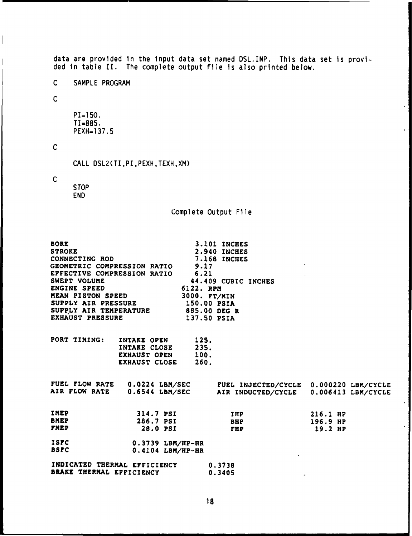data are provided in the input data set named DSL.INP. This data set is provided in table II. The complete output file is also printed below. C SAMPLE PROGRAM C PI=150. TI=885. PEXH=137.5 C CALL DSL2(TI,PI,PEXH,TEXH,XM) C **STOP** END Complete Output File BORE **3.101** INCHES STROKE 2.940 **INCHES CONNECTING** ROD **7.168** INCHES GEOMETRIC **COMPRESSION** RATIO **9.17 EFFECTIVE COMPRESSION** RATIO **6.21** SWEPT **VOLUME** 44.409 CUBIC **INCHES ENGINE SPEED** 6122. RPM<br> **REAN PISTON SPEED** 3000. FT/MIN **MEAN PISTON SPEED SUPPLY** AIR PRESSURE **150.00** PSIA **SUPPLY** AIR TEMPERATURE **885.00 DEG** R **EXHAUST PRESSURE** PORT TIMING: INTAKE **OPEN** 125. INTAKE CLOSE 235.<br>EXHAUST OPEN 100. EXHAUST OPEN 100.<br>EXHAUST CLOSE 260. **EXHAUST CLOSE FUEL** FLOW RATE 0.0224 **LBM/SEC FUEL INJECTED/CYCLE** 0.000220 LBM/CYCLE AIR FLOW RATE 0.6544 **LBM/SEC** AIR **INDUCTED/CYCLE** 0.006413 LBM/CYCLE IMEP 314.7 PSI IHP **216.1** HP BMEP **286.7** PSI **BHP 196.9** HP FMEP 28.0 PSI **FHP 19.2** HP **ISFC 0.3739** LBM/HP-HR BSFC 0.4104 LBM/HP-HR **INDICATED** THERMAL EFFICIENCY **0.3738** BRAKE THERMAL EFFICIENCY 0.3405  $\mathcal{L}$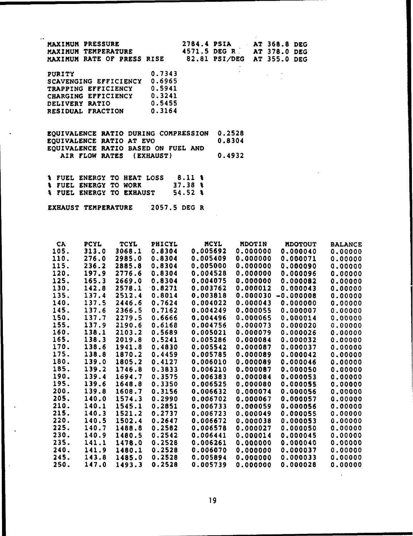| $\sim$ | MAXIMUM PRESSURE<br>MAXIMUM TEMPERATURE<br>MAXIMUM RATE OF PRESS RISE |  |   | 2784.4 PSIA AT 368.8 DEG<br>4571.5 DEG R<br>82.81 PSI/DEG AT 355.0 DEG | AT 378.0 DEG |  |
|--------|-----------------------------------------------------------------------|--|---|------------------------------------------------------------------------|--------------|--|
|        |                                                                       |  | . |                                                                        |              |  |

| <b>PURITY</b>         | 0.7343 |
|-----------------------|--------|
| SCAVENGING EFFICIENCY | 0.6965 |
| TRAPPING EFFICIENCY   | 0.5941 |
| CHARGING EFFICIENCY   | 0.3241 |
| DELIVERY RATIO        | 0.5455 |
| RESIDUAL FRACTION     | 0.3164 |

**EQUIVALENCE** RATIO **DURING** COMPRESSION **0.2528 EQUIVALENCE** RATIO **AT** EVO 0.8304 **EQUIVALENCE** RATIO **BASED ON FUEL AND** AIR FLOW RATES **(EXHAUST)** 0.4932

**% FUEL** ENERGY TO **HEAT LOSS 8.11 % % FUEL** ENERGY TO WORK **37.38 % & FUEL ENERGY TO EXHAUST** 

**EXHAUST** TEMPERATURE **2057.5 DEG** R

| <b>CA</b> | <b>PCYL</b> | <b>TCYL</b> | PHICYL | <b>MCYL</b>     | <b>MDOTIN</b> | <b>MDOTOUT</b> | <b>BALANCE</b> |
|-----------|-------------|-------------|--------|-----------------|---------------|----------------|----------------|
| 105.      | 313.0       | 3068.1      | 0.8304 | 0.005692        | 0.000000      | 0.000040       | 0.00000        |
| 110.      | 276.0       | 2985.0      | 0.8304 | 0.005409        | 0.000000      | 0.000071       | 0.00000        |
| 115.      | 236.2       | 2885.8      | 0.8304 | 0.005000        | 0.000000      | 0.000090       | 0.00000        |
| 120.      | 197.9       | 2776.6      | 0.8304 | 0.004528        | 0.000000      | 0.000096       | 0.00000        |
| 125.      | 165.3       | 2669.0      | 0.8304 | 0.004075        | 0.000000      | 0.000082       | 0.00000        |
| 130.      | 142.8       | 2578.1      | 0.8271 | 0.003762        | 0.000012      | 0.000043       | 0.00000        |
| 135.      | 137.4       | 2512.4      | 0.8014 | 0.003818        | 0.000030      | $-0.000008$    | 0.00000        |
| 140.      | 137.5       | 2446.6      | 0.7624 | 0.004022        | 0.000043      | 0.000000       | 0.00000        |
| 145.      | 137.6       | 2366.5      | 0.7162 | 0.004249        | 0.000055      | 0.000007       | 0.00000        |
| 150.      | 137.7       | 2279.5      | 0.6666 | 0.004496        | 0.000065      | 0.000014       | 0.00000        |
| 155.      | 137.9       | 2190.6      | 0.6168 | 0.004756        | 0.000073      | 0.000020       | 0.00000        |
| 160.      | 138.1       | 2103.2      | 0.5689 | 0.005021        | 0.000079      | 0.000026       | 0.00000        |
| 165.      | 138.3       | 2019.8      | 0.5241 | 0.005286        | 0.000084      | 0.000032       | 0.00000        |
| 170.      | 138.6       | 1941.8      | 0.4830 | 0.005542        | 0.000087      | 0.000037       | 0.00000        |
| 175.      | 138.8       | 1870.2      | 0.4459 | 0.005785        | 0.000089      | 0.000042       | 0.00000        |
| 180.      | 139.0       | 1805.2      | 0.4127 | 0.006010        | 0.000089      | 0.000046       | 0.00000        |
| 185.      | 139.2       | 1746.8      | 0.3833 | 0.006210        | 0.000087      | 0.000050       | 0.00000        |
| 190.      | 139.4       | 1694.7      | 0.3575 | 0.006383        | 0.000084      | 0.000053       | 0.00000        |
| 195.      | 139.6       | 1648.8      | 0.3350 | 0.006525        | 0.000080      | 0.000055       | 0.00000        |
| 200.      | 139.8       | 1608.7      | 0.3156 | 0.006632        | 0.000074      | 0.000056       | 0.00000        |
| 205.      | 140.0       | 1574.3      | 0.2990 | 0.006702        | 0.000067      | 0.000057       | 0.00000        |
| 210.      | 140.1       | 1545.1      | 0.2851 | 0.006733        | 0.000059      | 0.000056       | 0.00000        |
| 215.      | 140.3       | 1521.2      | 0.2737 | 0.006723        | 0.000049      | 0.000055       | 0.00000        |
| 220.      | 140.5       | 1502.4      | 0.2647 | 0.006672        | 0.000038      | 0.000053       | 0.00000        |
| 225.      | 140.7       | 1488.8      | 0.2582 | 0.006578        | 0.000027      | 0.000050       | 0.00000        |
| 230.      | 140.9       | 1480.5      | 0.2542 | 0.006441        | 0.000014      | 0.000045       | 0.00000        |
| 235.      | 141.1       | 1478.0      | 0.2528 | <b>0.006261</b> | 0.000000      | 0.000040       | 0.00000        |
| 240.      | 141.9       | 1480.1      | 0.2528 | 0.006070        | 0.000000      | 0.000037       | 0.00000        |
| 245.      | 143.8       | 1485.0      | 0.2528 | 0.005894        | 0.000000      | 0.000033       | 0.00000        |
| 250.      | 147.0       | 1493.3      | 0.2528 | 0.005739        | 0.000000      | 0.000028       | 0.00000        |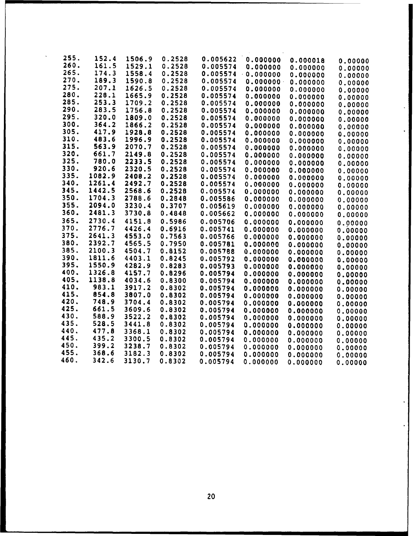| 255. | 152.4  | 1506.9 | 0.2528 | 0.005622 | 0.000000         | 0.000018 |         |
|------|--------|--------|--------|----------|------------------|----------|---------|
| 260. | 161.5  | 1529.1 | 0.2528 | 0.005574 | 0.000000         | 0.000000 | 0.00000 |
| 265. | 174.3  | 1558.4 | 0.2528 | 0.005574 | $-0.000000$      |          | 0.00000 |
| 270. | 189.3  | 1590.8 | 0.2528 | 0.005574 | $0.000000 \cdot$ | 0.000000 | 0.00000 |
| 275. | 207.1  | 1626.5 | 0.2528 | 0.005574 | 0.000000         | 0.000000 | 0.00000 |
| 280. | 228.1  | 1665.9 | 0.2528 | 0.005574 | 0.000000         | 0.000000 | 0.00000 |
| 285. | 253.3  | 1709.2 | 0.2528 | 0.005574 |                  | 0.000000 | 0.00000 |
| 290. | 283.5  | 1756.8 | 0.2528 |          | 0.000000         | 0.000000 | 0.00000 |
| 295. | 320.0  |        |        | 0.005574 | 0.000000         | 0.000000 | 0.00000 |
| 300. | 364.2  | 1809.0 | 0.2528 | 0.005574 | 0.000000         | 0.000000 | 0.00000 |
| 305. | 417.9  | 1866.2 | 0.2528 | 0.005574 | 0.000000         | 0.000000 | 0.00000 |
| 310. |        | 1928.8 | 0.2528 | 0.005574 | 0.000000         | 0.000000 | 0.00000 |
|      | 483.6  | 1996.9 | 0.2528 | 0.005574 | 0.000000         | 0.000000 | 0.00000 |
| 315. | 563.9  | 2070.7 | 0.2528 | 0.005574 | 0.000000         | 0.000000 | 0.00000 |
| 320. | 661.7  | 2149.8 | 0.2528 | 0.005574 | 0.000000         | 0.000000 | 0.00000 |
| 325. | 780.0  | 2233.5 | 0.2528 | 0.005574 | 0.000000         | 0.000000 | 0.00000 |
| 330. | 920.6  | 2320.5 | 0.2528 | 0.005574 | 0.000000         | 0.000000 | 0.00000 |
| 335. | 1082.9 | 2408.2 | 0.2528 | 0.005574 | 0.000000         | 0.000000 | 0.00000 |
| 340. | 1261.4 | 2492.7 | 0.2528 | 0.005574 | 0.000000         | 0.000000 | 0.00000 |
| 345. | 1442.5 | 2568.6 | 0.2528 | 0.005574 | 0.000000         | 0.000000 | 0.00000 |
| 350. | 1704.3 | 2788.6 | 0.2848 | 0.005586 | 0.000000         | 0.000000 | 0.00000 |
| 355. | 2094.0 | 3230.4 | 0.3707 | 0.005619 | 0.000000         | 0.000000 | 0.00000 |
| 360. | 2481.3 | 3730.8 | 0.4848 | 0.005662 | 0.000000         | 0.000000 | 0.00000 |
| 365. | 2730.4 | 4151.8 | 0.5986 | 0.005706 | 0.000000         | 0.000000 | 0.00000 |
| 370. | 2776.7 | 4426.4 | 0.6916 | 0.005741 | 0.000000         | 0.000000 | 0.00000 |
| 375. | 2641.3 | 4553.0 | 0.7563 | 0.005766 | 0.000000         | 0.000000 | 0.00000 |
| 380. | 2392.7 | 4565.5 | 0.7950 | 0.005781 | 0.000000         | 0.000000 | 0.00000 |
| 385. | 2100.3 | 4504.7 | 0.8152 | 0.005788 | 0.000000         | 0.000000 | 0.00000 |
| 390. | 1811.6 | 4403.1 | 0.8245 | 0.005792 | 0.000000         | 0.000000 | 0.00000 |
| 395. | 1550.9 | 4282.9 | 0.8283 | 0.005793 | 0.000000         | 0.000000 |         |
| 400. | 1326.8 | 4157.7 | 0.8296 | 0.005794 | 0.000000         | 0.000000 | 0.00000 |
| 405. | 1138.8 | 4034.6 | 0.8300 | 0.005794 | 0.000000         | 0.000000 | 0.00000 |
| 410. | 983.1  | 3917.2 | 0.8302 | 0.005794 | 0.000000         |          | 0.00000 |
| 415. | 854.8  | 3807.0 | 0.8302 | 0.005794 | 0.000000         | 0.000000 | 0.00000 |
| 420. | 748.9  | 3704.4 | 0.8302 | 0.005794 | 0.000000         | 0.000000 | 0.00000 |
| 425. | 661.5  | 3609.6 | 0.8302 | 0.005794 | 0.000000         | 0.000000 | 0.00000 |
| 430. | 588.9  | 3522.2 | 0.8302 | 0.005794 |                  | 0.000000 | 0.00000 |
| 435. | 528.5  | 3441.8 | 0.8302 | 0.005794 | 0.000000         | 0.000000 | 0.00000 |
| 440. | 477.8  | 3368.1 | 0.8302 |          | 0.000000         | 0.000000 | 0.00000 |
| 445. | 435.2  | 3300.5 | 0.8302 | 0.005794 | 0.000000         | 0.000000 | 0.00000 |
| 450. | 399.2  | 3238.7 | 0.8302 | 0.005794 | 0.000000         | 0.000000 | 0.00000 |
| 455. | 368.6  | 3182.3 |        | 0.005794 | 0.000000         | 0.000000 | 0.00000 |
| 460. |        |        | 0.8302 | 0.005794 | 0.000000         | 0.000000 | 0.00000 |
|      | 342.6  | 3130.7 | 0.8302 | 0.005794 | 0.000000         | 0.000000 | 0.00000 |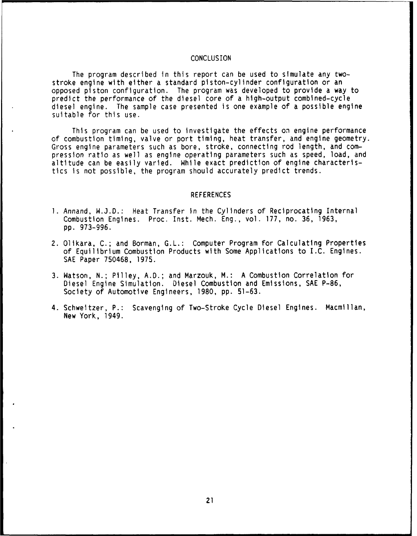#### **CONCLUSION**

The program described in this report can be used to simulate any twostroke engine with either a standard piston-cylinder configuration or an opposed piston configuration. The program was developed to provide a way to predict the performance of the diesel core of a high-output combined-cycle diesel engine. The sample case presented is one example of a possible engine suitable for this use.

This program can be used to investigate the effects **on** engine performance of combustion timing, valve or port timing, heat transfer, and engine geometry. Gross engine parameters such as bore, stroke, connecting rod length, and compression ratio as well as engine operating parameters such as speed, load, and altitude can be easily varied. While exact prediction of engine characteristics is not possible, the program should accurately predict trends.

#### REFERENCES

- 1. Annand, W.J.D.: Heat Transfer in the Cylinders of Reciprocating Internal Combustion Engines. Proc. Inst. Mech. Eng., vol. 177, no. 36, 1963, pp. 973-996.
- 2. Olikara, **C.;** and Borman, G.L.: Computer Program for Calculating Properties of Equilibrium Combustion Products with Some Applications to I.C. Engines. SAE Paper 750468, 1975.
- 3. Watson, N.; Pilley, A.D.; and Marzouk, M.: A Combustion Correlation for Diesel Engine Simulation. Diesel Combustion and Emissions, SAE P-86, Society of Automotive Engineers, 1980, pp. 51-63.
- 4. Schweitzer, P.: Scavenging of Two-Stroke Cycle Diesel Engines. Macmillan, New York, 1949.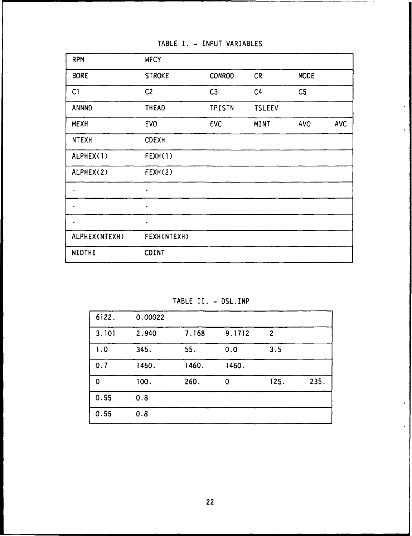TABLE **1. -** INPUT VARIABLES

| <b>RPM</b>    | <b>WECY</b>        |                |               |                |            |
|---------------|--------------------|----------------|---------------|----------------|------------|
| <b>BORE</b>   | <b>STROKE</b>      | <b>CONROD</b>  | <b>CR</b>     | <b>MODE</b>    |            |
| C1            | C <sub>2</sub>     | C <sub>3</sub> | C4            | C <sub>5</sub> |            |
| <b>ANNND</b>  | <b>THEAD</b>       | <b>TPISTN</b>  | <b>TSLEEV</b> |                |            |
| <b>MEXH</b>   | <b>EVO</b>         | <b>EVC</b>     | <b>MINT</b>   | <b>AVO</b>     | <b>AVC</b> |
| <b>NTEXH</b>  | <b>CDEXH</b>       |                |               |                |            |
| ALPHEX(1)     | FEXH(1)            |                |               |                |            |
| ALPHEX(2)     | FEXH(2)            |                |               |                |            |
| ۰             | $\bullet$          |                |               |                |            |
| ٠             | $\bullet$          |                |               |                |            |
| ٠             | $\bullet$          |                |               |                |            |
| ALPHEX(NTEXH) | <b>FEXH(NTEXH)</b> |                |               |                |            |
| WIDTHI        | <b>CDINT</b>       |                |               |                |            |

 $\ddot{\phantom{a}}$ 

TABLE II. - DSL.INP

| 6122.       | 0.00022 |       |             |                |      |
|-------------|---------|-------|-------------|----------------|------|
| 3.101       | 2.940   | 7.168 | 9.1712      | $\overline{2}$ |      |
| 1.0         | 345.    | 55.   | 0.0         | 3.5            |      |
| 0.7         | 1460.   | 1460. | 1460.       |                |      |
| $\mathbf 0$ | 100.    | 260.  | $\mathbf 0$ | 125.           | 235. |
| 0.55        | 0.8     |       |             |                |      |
| 0.55        | 0.8     |       |             |                |      |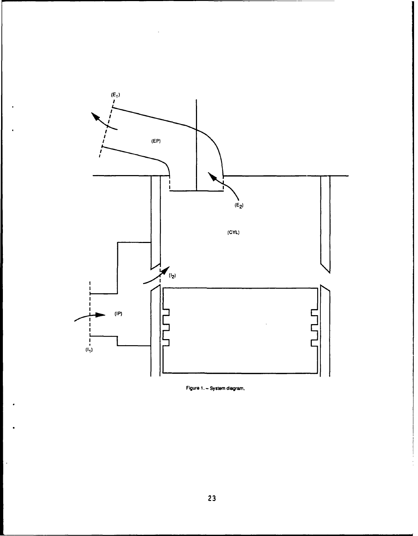

Figure **1.** System diagram.

 $\hat{\boldsymbol{\beta}}$